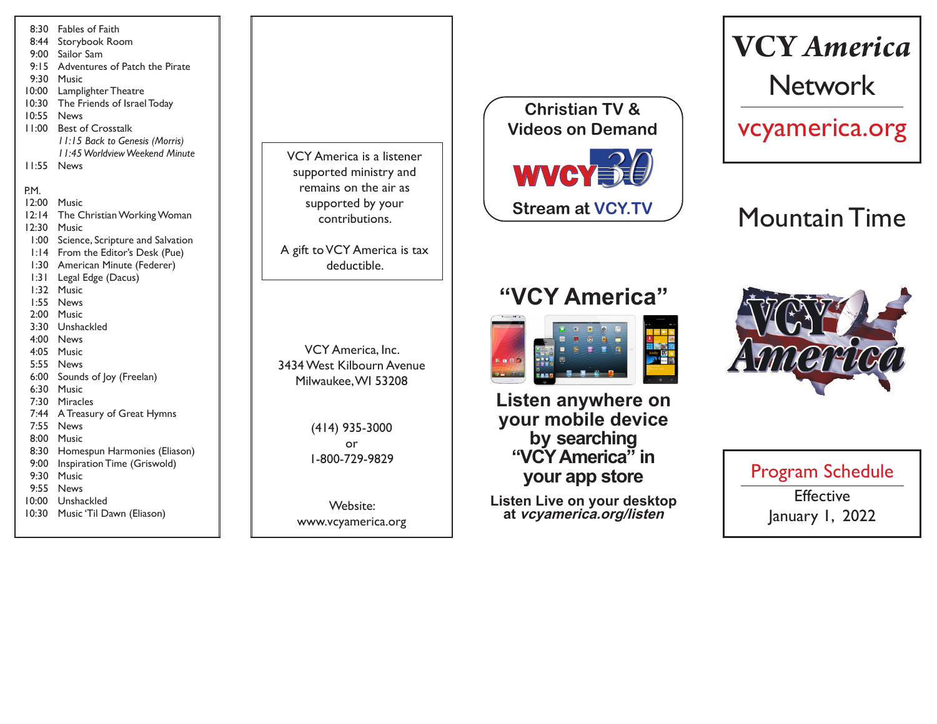| 8:30   | Fables of Faith                  |
|--------|----------------------------------|
| 8:44   | Storybook Room                   |
| 9:00   | Sailor Sam                       |
| 9:15   | Adventures of Patch the Pirate   |
| 9:30   | Music                            |
| 10:00  | Lamplighter Theatre              |
| 10:30  | The Friends of Israel Today      |
| 10:55  | News                             |
| 11:00  | <b>Best of Crosstalk</b>         |
|        | 11:15 Back to Genesis (Morris)   |
|        | 11:45 Worldview Weekend Minute   |
| l I:55 | News                             |
|        |                                  |
| P.M.   |                                  |
| 12:00  | <b>Music</b>                     |
| 12:14  | The Christian Working Woman      |
| 12:30  | Music                            |
| .00: ا | Science, Scripture and Salvation |
| 1:14   | From the Editor's Desk (Pue)     |
| 1:30   | American Minute (Federer)        |
| 1:31   | Legal Edge (Dacus)               |
| 1:32   | Music                            |
| 1:55   | <b>News</b>                      |
| 2:00   | Music                            |
| 3:30   | Unshackled                       |
| 4:00   | <b>News</b>                      |
| 4:05   | Music                            |
| 5:55   | News                             |
| 6:00   | Sounds of Joy (Freelan)          |
| 6:30   | Music                            |
| 7:30   | Miracles                         |
| 7:44   | A Treasury of Great Hymns        |
| 7:55   | <b>News</b>                      |
| 8:00   | Music                            |
| 8:30   | Homespun Harmonies (Eliason)     |
| 9:00   | Inspiration Time (Griswold)      |
| 9:30   | Music                            |
| 9:55   | <b>News</b>                      |
| 10:00  | Unshackled                       |
| 10:30  | Music 'Til Dawn (Eliason)        |
|        |                                  |

VCY America is a listener supported ministry and remains on the air as supported by your contributions.

A gift to VCY America is tax deductible.

VCY America, Inc. 3434 West Kilbourn Avenue Milwaukee, WI 53208

> (414) 935-3000 or 1-800-729-9829

Website: www.vcyamerica.org



**"VCY America"**

**Listen anywhere on** 

# **VCY** *America* Network

vcyamerica.org

## Mountain Time



**your mobile device by searching "VCY America" in your app store**

**Listen Live on your desktop at vcyamerica.org/listen**

Program Schedule **Effective** January 1, 2022